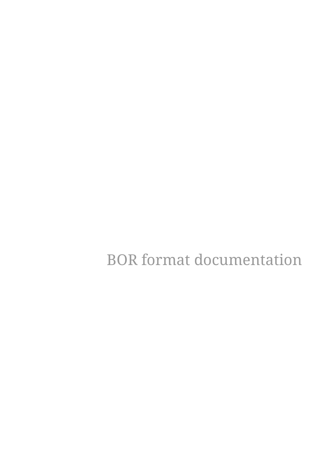BOR format documentation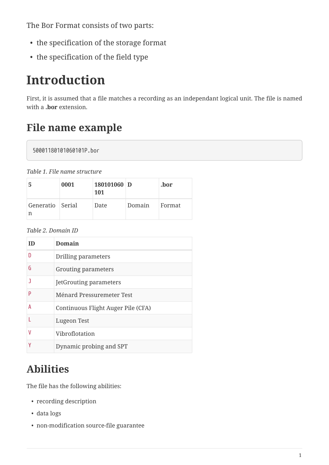The Bor Format consists of two parts:

- the specification of the storage format
- the specification of the field type

# **Introduction**

First, it is assumed that a file matches a recording as an independant logical unit. The file is named with a **.bor** extension.

# **File name example**

50001180101060101P.bor

| -5                    | 0001 | 180101060 D<br><b>101</b> |        | .bor   |
|-----------------------|------|---------------------------|--------|--------|
| Generatio Serial<br>n |      | Date                      | Domain | Format |

*Table 2. Domain ID*

| ID | <b>Domain</b>                      |
|----|------------------------------------|
| D  | Drilling parameters                |
| G  | Grouting parameters                |
| ٦  | <b>JetGrouting parameters</b>      |
| P  | Ménard Pressuremeter Test          |
| А  | Continuous Flight Auger Pile (CFA) |
|    | Lugeon Test                        |
| ۷  | Vibroflotation                     |
| ۷  | Dynamic probing and SPT            |

# **Abilities**

The file has the following abilities:

- recording description
- data logs
- non-modification source-file guarantee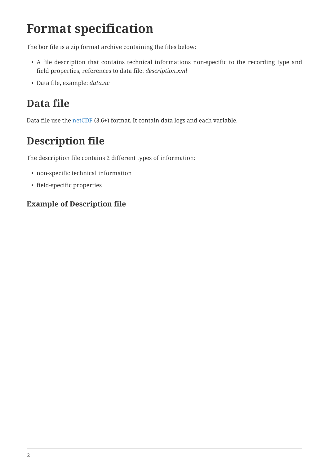# **Format specification**

The bor file is a zip format archive containing the files below:

- A file description that contains technical informations non-specific to the recording type and field properties, references to data file: *description.xml*
- Data file, example: *data.nc*

# **Data file**

Data file use the [netCDF](http://www.unidata.ucar.edu/software/netcdf/) (3.6+) format. It contain data logs and each variable.

# **Description file**

The description file contains 2 different types of information:

- non-specific technical information
- field-specific properties

### **Example of Description file**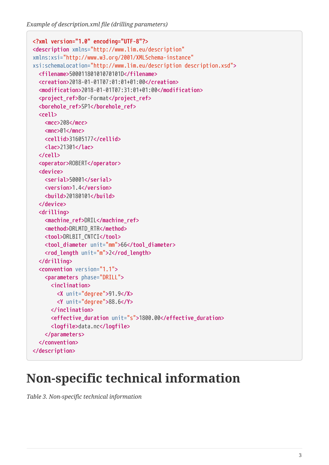*Example of description.xml file (drilling parameters)*

```
<?xml version="1.0" encoding="UTF-8"?>
<description xmlns="http://www.lim.eu/description"
xmlns:xsi="http://www.w3.org/2001/XMLSchema-instance"
xsi:schemaLocation="http://www.lim.eu/description description.xsd">
    <filename>50001180101070101D</filename>
    <creation>2018-01-01T07:01:01+01:00</creation>
    <modification>2018-01-01T07:31:01+01:00</modification>
    <project_ref>Bor-Format</project_ref>
    <borehole_ref>SP1</borehole_ref>
    <cell>
      <mcc>208</mcc>
      <mnc>01</mnc>
      <cellid>31605177</cellid>
      <lac>21301</lac>
    </cell>
    <operator>ROBERT</operator>
    <device>
      <serial>50001</serial>
      <version>1.4</version>
      <build>20180101</build>
    </device>
    <drilling>
      <machine_ref>DRIL</machine_ref>
      <method>DRLMTD_RTR</method>
      <tool>DRLBIT_CNTCI</tool>
      <tool_diameter unit="mm">66</tool_diameter>
      <rod_length unit="m">2</rod_length>
    </drilling>
    <convention version="1.1">
      <parameters phase="DRILL">
        <inclination>
          <X unit="degree">91.9</X>
          <Y unit="degree">88.6</Y>
        </inclination>
        <effective_duration unit="s">1800.00</effective_duration>
        <logfile>data.nc</logfile>
      </parameters>
    </convention>
</description>
```
# **Non-specific technical information**

*Table 3. Non-specific technical information*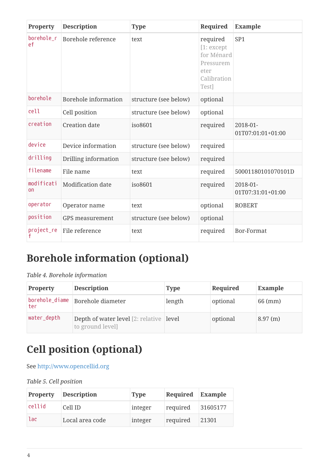| Property                     | <b>Description</b>   | <b>Type</b>           | Required                                                                          | <b>Example</b>                |
|------------------------------|----------------------|-----------------------|-----------------------------------------------------------------------------------|-------------------------------|
| borehole_r<br>ef             | Borehole reference   | text                  | required<br>[1:except]<br>for Ménard<br>Pressurem<br>eter<br>Calibration<br>Test] | SP <sub>1</sub>               |
| borehole                     | Borehole information | structure (see below) | optional                                                                          |                               |
| cell                         | Cell position        | structure (see below) | optional                                                                          |                               |
| creation                     | <b>Creation date</b> | iso8601               | required                                                                          | 2018-01-<br>01T07:01:01+01:00 |
| device                       | Device information   | structure (see below) | required                                                                          |                               |
| drilling                     | Drilling information | structure (see below) | required                                                                          |                               |
| filename                     | File name            | text                  | required                                                                          | 50001180101070101D            |
| modificati<br>O <sub>0</sub> | Modification date    | iso8601               | required                                                                          | 2018-01-<br>01T07:31:01+01:00 |
| operator                     | Operator name        | text                  | optional                                                                          | <b>ROBERT</b>                 |
| position                     | GPS measurement      | structure (see below) | optional                                                                          |                               |
| project_re                   | File reference       | text                  | required                                                                          | <b>Bor-Format</b>             |

# **Borehole information (optional)**

*Table 4. Borehole information*

| <b>Property</b>       | <b>Description</b>                                                        | <b>Type</b> | Required | <b>Example</b> |
|-----------------------|---------------------------------------------------------------------------|-------------|----------|----------------|
| borehole_diame<br>ter | Borehole diameter                                                         | length      | optional | 66 (mm)        |
| water_depth           | <b>Depth of water level</b> [2: relative <b>level</b><br>to ground level] |             | optional | 8.97(m)        |

# **Cell position (optional)**

See <http://www.opencellid.org>

#### *Table 5. Cell position*

| <b>Property</b> | <b>Description</b> | <b>Type</b> | Required | Example  |
|-----------------|--------------------|-------------|----------|----------|
| cellid          | Cell ID            | integer     | required | 31605177 |
| lac             | Local area code    | integer     | required | 21301    |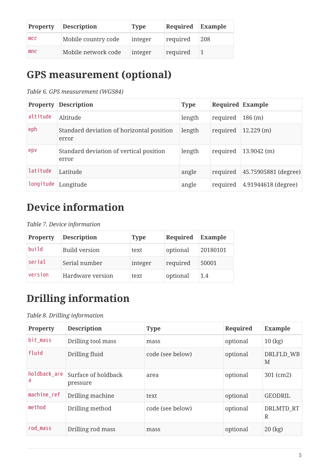| <b>Property</b> | <b>Description</b>  | <b>Type</b> | Required Example |     |
|-----------------|---------------------|-------------|------------------|-----|
| mcc             | Mobile country code | integer     | required         | 208 |
| mnc             | Mobile network code | integer     | required         |     |

## **GPS measurement (optional)**

*Table 6. GPS measurement (WGS84)*

| <b>Property</b> | <b>Description</b>                                 | <b>Type</b> | Required Example |                      |
|-----------------|----------------------------------------------------|-------------|------------------|----------------------|
| altitude        | Altitude                                           | length      | required         | 186(m)               |
| eph             | Standard deviation of horizontal position<br>error | length      | required         | 12.229(m)            |
| epv             | Standard deviation of vertical position<br>error   | length      | required         | $13.9042$ (m)        |
| latitude        | Latitude                                           | angle       | required         | 45.75905881 (degree) |
|                 | longitude Longitude                                | angle       | required         | 4.91944618 (degree)  |

# **Device information**

*Table 7. Device information*

| <b>Property</b> | <b>Description</b>   | <b>Type</b> | Required | Example  |
|-----------------|----------------------|-------------|----------|----------|
| build           | <b>Build version</b> | text        | optional | 20180101 |
| serial          | Serial number        | integer     | required | 50001    |
| version         | Hardware version     | text        | optional | 1.4      |

# **Drilling information**

#### *Table 8. Drilling information*

| Property          | <b>Description</b>              | <b>Type</b>      | Required | <b>Example</b>        |
|-------------------|---------------------------------|------------------|----------|-----------------------|
| bit mass          | Drilling tool mass              | mass             | optional | $10$ (kg)             |
| fluid             | Drilling fluid                  | code (see below) | optional | DRLFLD WB<br>M        |
| holdback_are<br>a | Surface of holdback<br>pressure | area             | optional | 301 (cm2)             |
| machine_ref       | Drilling machine                | text             | optional | <b>GEODRIL</b>        |
| method            | Drilling method                 | code (see below) | optional | <b>DRLMTD RT</b><br>R |
| rod mass          | Drilling rod mass               | mass             | optional | $20$ (kg)             |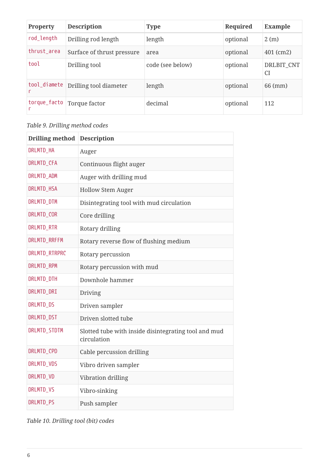| <b>Property</b> | <b>Description</b>                  | <b>Type</b>      | Required | <b>Example</b>          |
|-----------------|-------------------------------------|------------------|----------|-------------------------|
| rod_length      | Drilling rod length                 | length           | optional | 2(m)                    |
| thrust_area     | Surface of thrust pressure          | area             | optional | 401 (cm2)               |
| tool            | Drilling tool                       | code (see below) | optional | DRLBIT CNT<br><b>CI</b> |
|                 | tool_diamete Drilling tool diameter | length           | optional | 66 (mm)                 |
|                 | torque_facto   Torque factor        | decimal          | optional | 112                     |

#### *Table 9. Drilling method codes*

| <b>Drilling method</b> | <b>Description</b>                                                  |
|------------------------|---------------------------------------------------------------------|
| DRLMTD_HA              | Auger                                                               |
| DRLMTD_CFA             | Continuous flight auger                                             |
| DRLMTD_ADM             | Auger with drilling mud                                             |
| DRLMTD_HSA             | <b>Hollow Stem Auger</b>                                            |
| DRLMTD_DTM             | Disintegrating tool with mud circulation                            |
| DRLMTD_COR             | Core drilling                                                       |
| DRLMTD_RTR             | Rotary drilling                                                     |
| DRLMTD_RRFFM           | Rotary reverse flow of flushing medium                              |
| DRLMTD_RTRPRC          | Rotary percussion                                                   |
| DRLMTD_RPM             | Rotary percussion with mud                                          |
| DRLMTD_DTH             | Downhole hammer                                                     |
| DRLMTD_DRI             | Driving                                                             |
| <b>DRLMTD DS</b>       | Driven sampler                                                      |
| DRLMTD_DST             | Driven slotted tube                                                 |
| DRLMTD_STDTM           | Slotted tube with inside disintegrating tool and mud<br>circulation |
| DRLMTD_CPD             | Cable percussion drilling                                           |
| DRLMTD_VDS             | Vibro driven sampler                                                |
| DRLMTD_VD              | Vibration drilling                                                  |
| DRLMTD_VS              | Vibro-sinking                                                       |
| <b>DRLMTD PS</b>       | Push sampler                                                        |

### *Table 10. Drilling tool (bit) codes*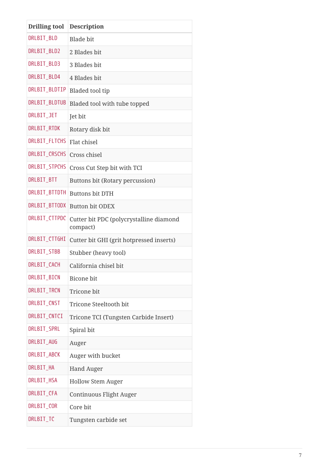| <b>Drilling tool</b> | <b>Description</b>                                  |
|----------------------|-----------------------------------------------------|
| DRLBIT_BLD           | <b>Blade</b> bit                                    |
| DRLBIT_BLD2          | 2 Blades bit                                        |
| DRLBIT_BLD3          | 3 Blades bit                                        |
| DRLBIT_BLD4          | 4 Blades bit                                        |
| DRLBIT_BLDTIP        | Bladed tool tip                                     |
| DRLBIT_BLDTUB        | Bladed tool with tube topped                        |
| DRLBIT_JET           | Jet bit                                             |
| DRLBIT_RTDK          | Rotary disk bit                                     |
| DRLBIT_FLTCHS        | Flat chisel                                         |
| DRLBIT_CRSCHS        | Cross chisel                                        |
| <b>DRLBIT STPCHS</b> | Cross Cut Step bit with TCI                         |
| DRLBIT_BTT           | Buttons bit (Rotary percussion)                     |
| DRLBIT_BTTDTH        | <b>Buttons bit DTH</b>                              |
| DRLBIT_BTTODX        | <b>Button bit ODEX</b>                              |
| DRLBIT_CTTPDC        | Cutter bit PDC (polycrystalline diamond<br>compact) |
| DRLBIT_CTTGHI        | Cutter bit GHI (grit hotpressed inserts)            |
| DRLBIT_STBB          | Stubber (heavy tool)                                |
| <b>DRLBIT CACH</b>   | California chisel bit                               |
| DRLBIT_BICN          | <b>Bicone</b> bit                                   |
| DRLBIT_TRCN          | Tricone bit                                         |
| DRLBIT_CNST          | Tricone Steeltooth bit                              |
| DRLBIT_CNTCI         | Tricone TCI (Tungsten Carbide Insert)               |
| DRLBIT_SPRL          | Spiral bit                                          |
| DRLBIT_AUG           | Auger                                               |
| DRLBIT_ABCK          | Auger with bucket                                   |
| DRLBIT_HA            | <b>Hand Auger</b>                                   |
| DRLBIT_HSA           | <b>Hollow Stem Auger</b>                            |
| DRLBIT_CFA           | Continuous Flight Auger                             |
| DRLBIT_COR           | Core bit                                            |
| DRLBIT_TC            | Tungsten carbide set                                |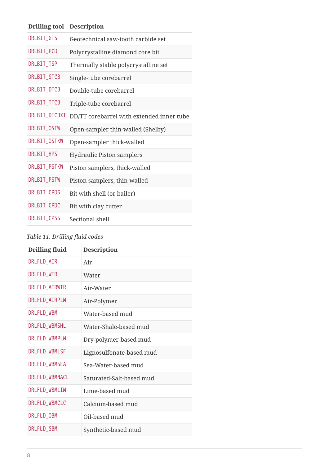| <b>Drilling tool</b> | <b>Description</b>                        |
|----------------------|-------------------------------------------|
| DRLBIT_GTS           | Geotechnical saw-tooth carbide set        |
| DRLBIT_PCD           | Polycrystalline diamond core bit          |
| DRLBIT_TSP           | Thermally stable polycrystalline set      |
| DRLBIT_STCB          | Single-tube corebarrel                    |
| DRLBIT_DTCB          | Double-tube corebarrel                    |
| DRLBIT_TTCB          | Triple-tube corebarrel                    |
| DRLBIT_DTCBXT        | DD/TT corebarrel with extended inner tube |
| DRLBIT_OSTW          | Open-sampler thin-walled (Shelby)         |
| DRLBIT_OSTKW         | Open-sampler thick-walled                 |
| DRLBIT_HPS           | <b>Hydraulic Piston samplers</b>          |
| DRLBIT_PSTKW         | Piston samplers, thick-walled             |
| DRLBIT_PSTW          | Piston samplers, thin-walled              |
| DRLBIT_CPDS          | Bit with shell (or bailer)                |
| DRLBIT_CPDC          | Bit with clay cutter                      |
| DRLBIT_CPSS          | Sectional shell                           |

#### *Table 11. Drilling fluid codes*

| <b>Drilling fluid</b> | <b>Description</b>       |
|-----------------------|--------------------------|
| DRLFLD_AIR            | Air                      |
| DRLFLD_WTR            | Water                    |
| DRLFLD_AIRWTR         | Air-Water                |
| DRLFLD_AIRPLM         | Air-Polymer              |
| DRLFLD_WBM            | Water-based mud          |
| DRLFLD_WBMSHL         | Water-Shale-based mud    |
| DRLFLD_WBMPLM         | Dry-polymer-based mud    |
| DRLFLD_WBMLSF         | Lignosulfonate-based mud |
| DRLFLD_WBMSEA         | Sea-Water-based mud      |
| DRLFLD_WBMNACL        | Saturated-Salt-based mud |
| DRLFLD_WBMLIM         | Lime-based mud           |
| DRLFLD_WBMCLC         | Calcium-based mud        |
| DRLFLD_OBM            | Oil-based mud            |
| DRLFLD_SBM            | Synthetic-based mud      |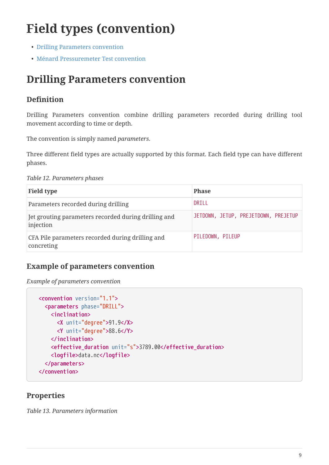# **Field types (convention)**

- [Drilling Parameters convention](#page-9-0)
- [Ménard Pressuremeter Test convention](#page-13-0)

### <span id="page-9-0"></span>**Drilling Parameters convention**

### **Definition**

Drilling Parameters convention combine drilling parameters recorded during drilling tool movement according to time or depth.

The convention is simply named *parameters*.

Three different field types are actually supported by this format. Each field type can have different phases.

*Table 12. Parameters phases*

| <b>Field type</b>                                                 | <b>Phase</b>                         |
|-------------------------------------------------------------------|--------------------------------------|
| Parameters recorded during drilling                               | DRILL                                |
| Jet grouting parameters recorded during drilling and<br>injection | JETDOWN, JETUP, PREJETDOWN, PREJETUP |
| CFA Pile parameters recorded during drilling and<br>concreting    | PILEDOWN, PILEUP                     |

#### **Example of parameters convention**

```
Example of parameters convention
```

```
  <convention version="1.1">
    <parameters phase="DRILL">
      <inclination>
        <X unit="degree">91.9</X>
        <Y unit="degree">88.6</Y>
      </inclination>
      <effective_duration unit="s">3789.00</effective_duration>
      <logfile>data.nc</logfile>
    </parameters>
  </convention>
```
### **Properties**

*Table 13. Parameters information*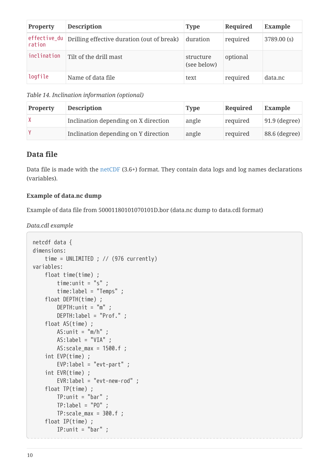| <b>Property</b> | <b>Description</b>                                      | <b>Type</b>              | Required | Example    |
|-----------------|---------------------------------------------------------|--------------------------|----------|------------|
| ration          | effective_du Drilling effective duration (out of break) | duration                 | required | 3789.00(s) |
| inclination     | Tilt of the drill mast                                  | structure<br>(see below) | optional |            |
| logfile         | Name of data file                                       | text                     | required | data.nc    |

*Table 14. Inclination information (optional)*

| <b>Property</b> | <b>Description</b>                   | <b>Type</b> | Required | <b>Example</b>  |
|-----------------|--------------------------------------|-------------|----------|-----------------|
|                 | Inclination depending on X direction | angle       | required | $91.9$ (degree) |
|                 | Inclination depending on Y direction | angle       | required | 88.6 (degree)   |

#### **Data file**

Data file is made with the [netCDF](http://www.unidata.ucar.edu/software/netcdf/) (3.6+) format. They contain data logs and log names declarations (variables).

#### **Example of data.nc dump**

Example of data file from 50001180101070101D.bor (data.nc dump to data.cdl format)

*Data.cdl example*

```
netcdf data {
dimensions:
      time = UNLIMITED ; // (976 currently)
variables:
      float time(time) ;
        time:unit = "s";
          time:label = "Temps" ;
      float DEPTH(time) ;
        DEFH:unit = "m" ;  DEPTH:label = "Prof." ;
      float AS(time) ;
        AS:unit = "m/h";
          AS:label = "VIA" ;
         AS:scale_max = 1500.f ;
      int EVP(time) ;
          EVP:label = "evt-part" ;
      int EVR(time) ;
          EVR:label = "evt-new-rod" ;
      float TP(time) ;
        TP:unit = "bar" ;TP:label = "PO"TP:scale max = 300.f;
      float IP(time) ;
        IP:unit = "bar" ;
```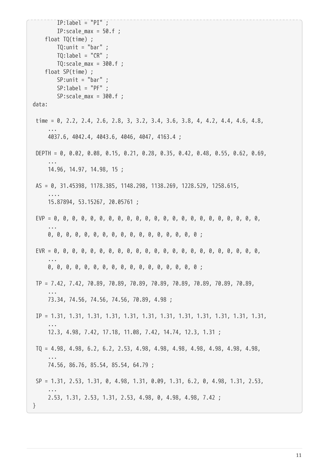```
IP:label = "PI";
        IP:scale max = 50.f ;
      float TQ(time) ;
       TQ:unit = "bar" ;
        TO:label = "CR";
        TQ:scale max = 300.f ;
      float SP(time) ;
        SP:unit = "bar" ;SP:label = "PF" ;
        SP: scale_max = 300.f;
data:
 time = 0, 2.2, 2.4, 2.6, 2.8, 3, 3.2, 3.4, 3.6, 3.8, 4, 4.2, 4.4, 4.6, 4.8,
  ...
      4037.6, 4042.4, 4043.6, 4046, 4047, 4163.4 ;
 DEPTH = 0, 0.02, 0.08, 0.15, 0.21, 0.28, 0.35, 0.42, 0.48, 0.55, 0.62, 0.69,
  ...
       14.96, 14.97, 14.98, 15 ;
 AS = 0, 31.45398, 1178.385, 1148.298, 1138.269, 1228.529, 1258.615,
  ....
      15.87894, 53.15267, 20.05761 ;
 EVP = 0, 0, 0, 0, 0, 0, 0, 0, 0, 0, 0, 0, 0, 0, 0, 0, 0, 0, 0, 0, 0, 0, 0,
  ...
      0, 0, 0, 0, 0, 0, 0, 0, 0, 0, 0, 0, 0, 0, 0, 0, 0 ;
 EVR = 0, 0, 0, 0, 0, 0, 0, 0, 0, 0, 0, 0, 0, 0, 0, 0, 0, 0, 0, 0, 0, 0, 0,
  ...
      0, 0, 0, 0, 0, 0, 0, 0, 0, 0, 0, 0, 0, 0, 0, 0, 0 ;
 TP = 7.42, 7.42, 70.89, 70.89, 70.89, 70.89, 70.89, 70.89, 70.89, 70.89,
  ...
      73.34, 74.56, 74.56, 74.56, 70.89, 4.98 ;
 IP = 1.31, 1.31, 1.31, 1.31, 1.31, 1.31, 1.31, 1.31, 1.31, 1.31, 1.31, 1.31,
  ...
      12.3, 4.98, 7.42, 17.18, 11.08, 7.42, 14.74, 12.3, 1.31 ;
 TQ = 4.98, 4.98, 6.2, 6.2, 2.53, 4.98, 4.98, 4.98, 4.98, 4.98, 4.98, 4.98,
  ...
      74.56, 86.76, 85.54, 85.54, 64.79 ;
 SP = 1.31, 2.53, 1.31, 0, 4.98, 1.31, 0.09, 1.31, 6.2, 0, 4.98, 1.31, 2.53,
  ...
      2.53, 1.31, 2.53, 1.31, 2.53, 4.98, 0, 4.98, 4.98, 7.42 ;
}
```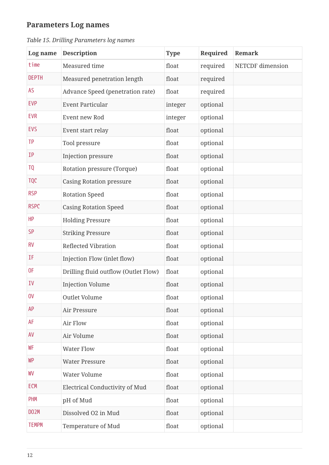### **Parameters Log names**

| Log name          | <b>Description</b>                   | <b>Type</b> | Required | Remark                  |
|-------------------|--------------------------------------|-------------|----------|-------------------------|
| time              | Measured time                        | float       | required | <b>NETCDF</b> dimension |
| <b>DEPTH</b>      | Measured penetration length          | float       | required |                         |
| AS                | Advance Speed (penetration rate)     | float       | required |                         |
| <b>EVP</b>        | <b>Event Particular</b>              | integer     | optional |                         |
| <b>EVR</b>        | Event new Rod                        | integer     | optional |                         |
| <b>EVS</b>        | Event start relay                    | float       | optional |                         |
| TP                | Tool pressure                        | float       | optional |                         |
| IP                | Injection pressure                   | float       | optional |                         |
| <b>TQ</b>         | Rotation pressure (Torque)           | float       | optional |                         |
| <b>TQC</b>        | <b>Casing Rotation pressure</b>      | float       | optional |                         |
| <b>RSP</b>        | <b>Rotation Speed</b>                | float       | optional |                         |
| <b>RSPC</b>       | <b>Casing Rotation Speed</b>         | float       | optional |                         |
| <b>HP</b>         | <b>Holding Pressure</b>              | float       | optional |                         |
| SP                | <b>Striking Pressure</b>             | float       | optional |                         |
| <b>RV</b>         | <b>Reflected Vibration</b>           | float       | optional |                         |
| ΙF                | Injection Flow (inlet flow)          | float       | optional |                         |
| 0F                | Drilling fluid outflow (Outlet Flow) | float       | optional |                         |
| IV                | <b>Injection Volume</b>              | float       | optional |                         |
| 0 <sup>V</sup>    | Outlet Volume                        | float       | optional |                         |
| AP                | Air Pressure                         | float       | optional |                         |
| AF                | Air Flow                             | float       | optional |                         |
| AV                | Air Volume                           | float       | optional |                         |
| WF                | <b>Water Flow</b>                    | float       | optional |                         |
| <b>WP</b>         | <b>Water Pressure</b>                | float       | optional |                         |
| WV                | Water Volume                         | float       | optional |                         |
| <b>ECM</b>        | Electrical Conductivity of Mud       | float       | optional |                         |
| <b>PHM</b>        | pH of Mud                            | float       | optional |                         |
| DO <sub>2</sub> M | Dissolved O2 in Mud                  | float       | optional |                         |
| <b>TEMPM</b>      | Temperature of Mud                   | float       | optional |                         |

*Table 15. Drilling Parameters log names*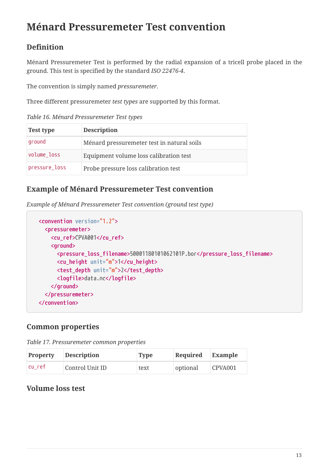## <span id="page-13-0"></span>**Ménard Pressuremeter Test convention**

### **Definition**

Ménard Pressuremeter Test is performed by the radial expansion of a tricell probe placed in the ground. This test is specified by the standard *ISO 22476-4*.

The convention is simply named *pressuremeter*.

Three different pressuremeter *test types* are supported by this format.

*Table 16. Ménard Pressuremeter Test types*

| <b>Test type</b> | <b>Description</b>                         |
|------------------|--------------------------------------------|
| ground           | Ménard pressuremeter test in natural soils |
| volume loss      | Equipment volume loss calibration test     |
| pressure_loss    | Probe pressure loss calibration test       |

#### **Example of Ménard Pressuremeter Test convention**

*Example of Ménard Pressuremeter Test convention (ground test type)*

```
  <convention version="1.2">
    <pressuremeter>
      <cu_ref>CPVA001</cu_ref>
      <ground>
        <pressure_loss_filename>50001180101062101P.bor</pressure_loss_filename>
        <cu_height unit="m">1</cu_height>
        <test_depth unit="m">2</test_depth>
        <logfile>data.nc</logfile>
      </ground>
    </pressuremeter>
  </convention>
```
### **Common properties**

| <b>Property</b> | <b>Description</b> | <b>Type</b> | Required | Example    |
|-----------------|--------------------|-------------|----------|------------|
| cu ref          | Control Unit ID    | text        | optional | $C$ PVA001 |

### **Volume loss test**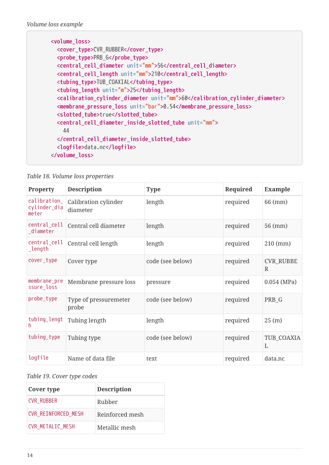| <volume_loss></volume_loss>                                                                              |
|----------------------------------------------------------------------------------------------------------|
| <cover_type>CVR_RUBBER</cover_type>                                                                      |
| <probe_type>PRB_G</probe_type>                                                                           |
| <central_cell_diameter unit="mm">56</central_cell_diameter>                                              |
| <central_cell_length unit="mm">210</central_cell_length>                                                 |
| <tubing_type>TUB_COAXIAL</tubing_type>                                                                   |
| <tubing_length unit="m">25</tubing_length>                                                               |
| <calibration_cylinder_diameter_unit="mm">60</calibration_cylinder_diameter_unit="mm">                    |
| <membrane_pressure_loss unit="bar">0.54</membrane_pressure_loss>                                         |
| <slotted_tube>true</slotted_tube>                                                                        |
| <central_cell_diameter_inside_slotted_tube unit="mm"><br/>44</central_cell_diameter_inside_slotted_tube> |
|                                                                                                          |
|                                                                                                          |
| <logfile>data.nc</logfile>                                                                               |
|                                                                                                          |

|  |  |  | Table 18. Volume loss properties |
|--|--|--|----------------------------------|
|--|--|--|----------------------------------|

| <b>Property</b>                       | <b>Description</b>               | <b>Type</b>      | Required | <b>Example</b>        |
|---------------------------------------|----------------------------------|------------------|----------|-----------------------|
| calibration_<br>cylinder_dia<br>meter | Calibration cylinder<br>diameter | length           | required | 66 (mm)               |
| central_cell<br>_diameter             | Central cell diameter            | length           | required | 56 (mm)               |
| central_cell<br>_length               | Central cell length              | length           | required | $210$ (mm)            |
| cover_type                            | Cover type                       | code (see below) | required | <b>CVR_RUBBE</b><br>R |
| membrane_pre<br>ssure_loss            | Membrane pressure loss           | pressure         | required | $0.054$ (MPa)         |
| probe_type                            | Type of pressuremeter<br>probe   | code (see below) | required | PRB G                 |
| tubing_lengt<br>h.                    | Tubing length                    | length           | required | 25(m)                 |
| tubing_type                           | Tubing type                      | code (see below) | required | TUB_COAXIA<br>L       |
| logfile                               | Name of data file                | text             | required | data.nc               |

#### *Table 19. Cover type codes*

| Cover type                 | <b>Description</b> |
|----------------------------|--------------------|
| <b>CVR RUBBER</b>          | Rubber             |
| <b>CVR REINFORCED MESH</b> | Reinforced mesh    |
| <b>CVR METALIC MESH</b>    | Metallic mesh      |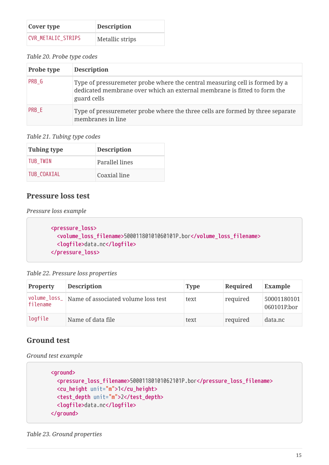| Cover type                | <b>Description</b> |  |
|---------------------------|--------------------|--|
| <b>CVR METALIC STRIPS</b> | Metallic strips    |  |

*Table 20. Probe type codes*

| <b>Probe type</b> | <b>Description</b>                                                                                                                                                     |
|-------------------|------------------------------------------------------------------------------------------------------------------------------------------------------------------------|
| PRB G             | Type of pressuremeter probe where the central measuring cell is formed by a<br>dedicated membrane over which an external membrane is fitted to form the<br>guard cells |
| PRB E             | Type of pressuremeter probe where the three cells are formed by three separate<br>membranes in line                                                                    |

*Table 21. Tubing type codes*

| Tubing type | <b>Description</b> |
|-------------|--------------------|
| TUB TWIN    | Parallel lines     |
| TUB COAXIAL | Coaxial line       |

### **Pressure loss test**

*Pressure loss example*

```
  <pressure_loss>
    <volume_loss_filename>50001180101060101P.bor</volume_loss_filename>
    <logfile>data.nc</logfile>
  </pressure_loss>
```
*Table 22. Pressure loss properties*

| <b>Property</b> | <b>Description</b>                                 | <b>Type</b> | Required | <b>Example</b>             |
|-----------------|----------------------------------------------------|-------------|----------|----------------------------|
| filename        | volume_loss_   Name of associated volume loss test | text        | required | 50001180101<br>060101P.bor |
| logfile         | Name of data file                                  | text        | required | data.nc                    |

### **Ground test**

*Ground test example*

```
  <ground>
    <pressure_loss_filename>50001180101062101P.bor</pressure_loss_filename>
    <cu_height unit="m">1</cu_height>
    <test_depth unit="m">2</test_depth>
    <logfile>data.nc</logfile>
  </ground>
```
#### *Table 23. Ground properties*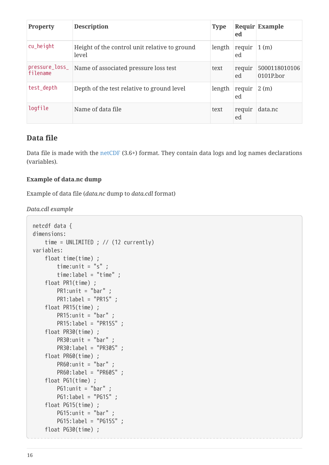| <b>Property</b>            | <b>Description</b>                                     | <b>Type</b> | ed           | <b>Requir Example</b>      |
|----------------------------|--------------------------------------------------------|-------------|--------------|----------------------------|
| cu_height                  | Height of the control unit relative to ground<br>level | length      | requir<br>ed | 1(m)                       |
| pressure_loss_<br>filename | Name of associated pressure loss test                  | text        | requir<br>ed | 5000118010106<br>0101P.bor |
| test_depth                 | Depth of the test relative to ground level             | length      | requir<br>ed | 2(m)                       |
| logfile                    | Name of data file                                      | text        | requir<br>ed | data.nc                    |

#### **Data file**

Data file is made with the [netCDF](http://www.unidata.ucar.edu/software/netcdf/) (3.6+) format. They contain data logs and log names declarations (variables).

#### **Example of data.nc dump**

Example of data file (*data.nc* dump to *data.cdl* format)

*Data.cdl example*

```
netcdf data {
dimensions:
      time = UNLIMITED ; // (12 currently)
variables:
      float time(time) ;
        time:unit = "s" ;
          time:label = "time" ;
      float PR1(time) ;
        PR1:unit = "bar";
          PR1:label = "PR1S" ;
      float PR15(time) ;
        PR15:unit = "bar" ;
          PR15:label = "PR15S" ;
      float PR30(time) ;
          PR30:unit = "bar" ;
          PR30:label = "PR30S" ;
      float PR60(time) ;
        PR60:unit = "bar" ;
          PR60:label = "PR60S" ;
      float PG1(time) ;
        PG1:unit = "bar" ;
          PG1:label = "PG1S" ;
      float PG15(time) ;
        PG15:unit = "bar" ;
          PG15:label = "PG15S" ;
      float PG30(time) ;
```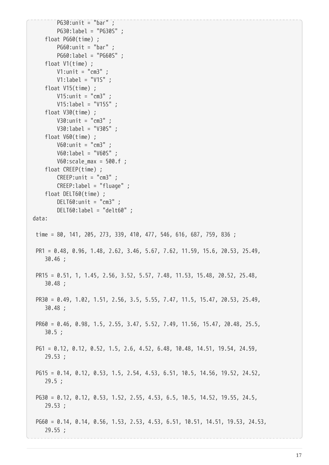```
PG30:unit = "bar" ;
          PG30:label = "PG30S" ;
      float PG60(time) ;
          PG60:unit = "bar" ;
          PG60:label = "PG60S" ;
      float V1(time) ;
          V1:unit = "cm3" ;
          V1:label = "V1S" ;
      float V15(time) ;
          V15:unit = "cm3" ;
          V15:label = "V15S" ;
      float V30(time) ;
          V30:unit = "cm3" ;
          V30:label = "V30S" ;
      float V60(time) ;
          V60:unit = "cm3" ;
          V60:label = "V60S" ;
        V60:scale max = 500.f ;
      float CREEP(time) ;
          CREEP:unit = "cm3" ;
          CREEP:label = "fluage" ;
      float DELT60(time) ;
          DELT60:unit = "cm3" ;
          DELT60:label = "delt60" ;
data:
 time = 80, 141, 205, 273, 339, 410, 477, 546, 616, 687, 759, 836 ;
 PR1 = 0.48, 0.96, 1.48, 2.62, 3.46, 5.67, 7.62, 11.59, 15.6, 20.53, 25.49,
     30.46 ;
 PR15 = 0.51, 1, 1.45, 2.56, 3.52, 5.57, 7.48, 11.53, 15.48, 20.52, 25.48,
      30.48 ;
 PR30 = 0.49, 1.02, 1.51, 2.56, 3.5, 5.55, 7.47, 11.5, 15.47, 20.53, 25.49,
      30.48 ;
 PR60 = 0.46, 0.98, 1.5, 2.55, 3.47, 5.52, 7.49, 11.56, 15.47, 20.48, 25.5,
      30.5 ;
 PG1 = 0.12, 0.12, 0.52, 1.5, 2.6, 4.52, 6.48, 10.48, 14.51, 19.54, 24.59,
      29.53 ;
 PG15 = 0.14, 0.12, 0.53, 1.5, 2.54, 4.53, 6.51, 10.5, 14.56, 19.52, 24.52,
      29.5 ;
 PG30 = 0.12, 0.12, 0.53, 1.52, 2.55, 4.53, 6.5, 10.5, 14.52, 19.55, 24.5,
      29.53 ;
 PG60 = 0.14, 0.14, 0.56, 1.53, 2.53, 4.53, 6.51, 10.51, 14.51, 19.53, 24.53,
      29.55 ;
```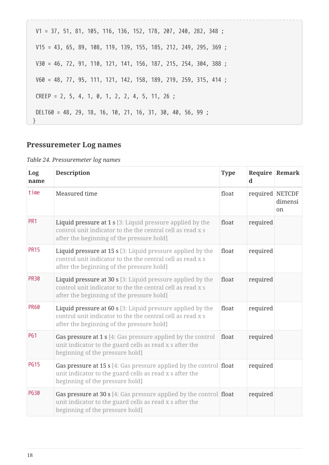| $V1 = 37, 51, 81, 105, 116, 136, 152, 178, 207, 240, 282, 348;$   |
|-------------------------------------------------------------------|
| $V15 = 43, 65, 89, 108, 119, 139, 155, 185, 212, 249, 295, 369;$  |
| $V30 = 46$ , 72, 91, 110, 121, 141, 156, 187, 215, 254, 304, 388; |
| $V60 = 48, 77, 95, 111, 121, 142, 158, 189, 219, 259, 315, 414;$  |
| CREEP = 2, 5, 4, 1, 0, 1, 2, 2, 4, 5, 11, 26;                     |
| DELT60 = 48, 29, 18, 16, 10, 21, 16, 31, 30, 40, 56, 99;          |

### **Pressuremeter Log names**

#### *Table 24. Pressuremeter log names*

| Log<br>name     | <b>Description</b>                                                                                                                                                             | <b>Type</b> | Require Remark<br>$\mathbf d$ |                          |
|-----------------|--------------------------------------------------------------------------------------------------------------------------------------------------------------------------------|-------------|-------------------------------|--------------------------|
| time            | Measured time                                                                                                                                                                  | float       | required NETCDF               | dimensi<br><sub>on</sub> |
| PR <sub>1</sub> | Liquid pressure at 1 s [3: Liquid pressure applied by the<br>control unit indicator to the the central cell as read x s<br>after the beginning of the pressure hold]           | float       | required                      |                          |
| <b>PR15</b>     | Liquid pressure at 15 s [3: Liquid pressure applied by the<br>control unit indicator to the the central cell as read x s<br>after the beginning of the pressure hold]          | float       | required                      |                          |
| <b>PR30</b>     | Liquid pressure at 30 s [3: Liquid pressure applied by the<br>control unit indicator to the the central cell as read x s<br>after the beginning of the pressure hold]          | float       | required                      |                          |
| <b>PR60</b>     | Liquid pressure at 60 s [3: Liquid pressure applied by the<br>control unit indicator to the the central cell as read x s<br>after the beginning of the pressure hold]          | float       | required                      |                          |
| <b>PG1</b>      | <b>Gas pressure at 1 s</b> [4: Gas pressure applied by the control<br>unit indicator to the guard cells as read x s after the<br>beginning of the pressure hold]               | float       | required                      |                          |
| <b>PG15</b>     | Gas pressure at 15 s [4: Gas pressure applied by the control float<br>unit indicator to the guard cells as read x s after the<br>beginning of the pressure hold]               |             | required                      |                          |
| <b>PG30</b>     | <b>Gas pressure at 30 s</b> [4: Gas pressure applied by the control <b>float</b><br>unit indicator to the guard cells as read x s after the<br>beginning of the pressure hold] |             | required                      |                          |